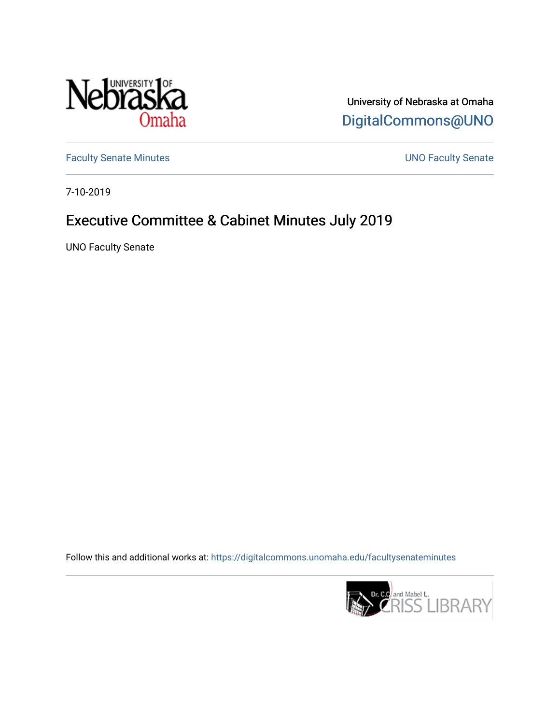

University of Nebraska at Omaha [DigitalCommons@UNO](https://digitalcommons.unomaha.edu/) 

[Faculty Senate Minutes](https://digitalcommons.unomaha.edu/facultysenateminutes) **Exercise Senate UNO Faculty Senate** 

7-10-2019

# Executive Committee & Cabinet Minutes July 2019

UNO Faculty Senate

Follow this and additional works at: [https://digitalcommons.unomaha.edu/facultysenateminutes](https://digitalcommons.unomaha.edu/facultysenateminutes?utm_source=digitalcommons.unomaha.edu%2Ffacultysenateminutes%2F131&utm_medium=PDF&utm_campaign=PDFCoverPages) 

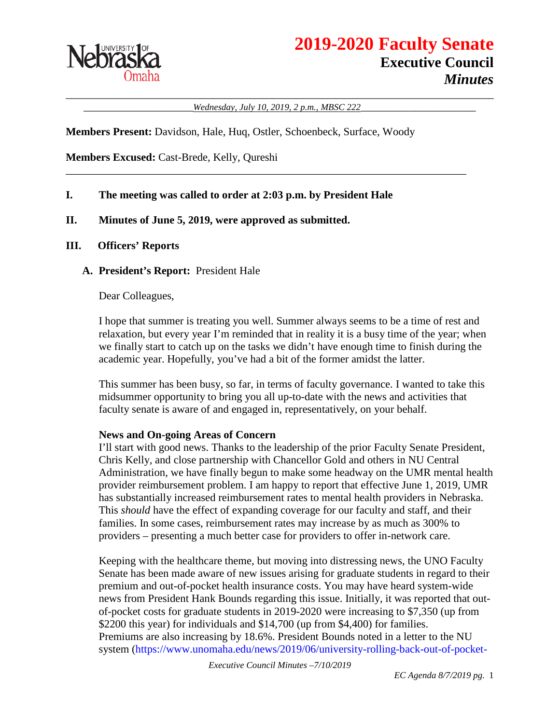

\_\_\_\_\_\_\_\_\_\_\_\_\_\_\_\_\_\_\_\_\_\_\_\_\_\_\_\_\_\_\_\_\_\_\_\_\_\_\_\_\_\_\_\_\_\_\_\_\_\_\_\_\_\_\_\_\_\_\_\_\_\_\_\_\_\_\_\_\_\_\_\_\_\_\_\_\_\_ \_\_\_\_\_\_\_\_\_\_\_\_\_\_\_\_\_\_\_\_*Wednesday, July 10, 2019, 2 p.m., MBSC 222*\_\_\_\_\_\_\_\_\_\_\_\_\_\_\_\_\_\_\_\_\_

\_\_\_\_\_\_\_\_\_\_\_\_\_\_\_\_\_\_\_\_\_\_\_\_\_\_\_\_\_\_\_\_\_\_\_\_\_\_\_\_\_\_\_\_\_\_\_\_\_\_\_\_\_\_\_\_\_\_\_\_\_\_\_\_\_\_\_\_\_\_\_\_\_

**Members Present:** Davidson, Hale, Huq, Ostler, Schoenbeck, Surface, Woody

**Members Excused:** Cast-Brede, Kelly, Qureshi

#### **I. The meeting was called to order at 2:03 p.m. by President Hale**

#### **II. Minutes of June 5, 2019, were approved as submitted.**

#### **III. Officers' Reports**

**A. President's Report:** President Hale

Dear Colleagues,

I hope that summer is treating you well. Summer always seems to be a time of rest and relaxation, but every year I'm reminded that in reality it is a busy time of the year; when we finally start to catch up on the tasks we didn't have enough time to finish during the academic year. Hopefully, you've had a bit of the former amidst the latter.

This summer has been busy, so far, in terms of faculty governance. I wanted to take this midsummer opportunity to bring you all up-to-date with the news and activities that faculty senate is aware of and engaged in, representatively, on your behalf.

#### **News and On-going Areas of Concern**

I'll start with good news. Thanks to the leadership of the prior Faculty Senate President, Chris Kelly, and close partnership with Chancellor Gold and others in NU Central Administration, we have finally begun to make some headway on the UMR mental health provider reimbursement problem. I am happy to report that effective June 1, 2019, UMR has substantially increased reimbursement rates to mental health providers in Nebraska. This *should* have the effect of expanding coverage for our faculty and staff, and their families. In some cases, reimbursement rates may increase by as much as 300% to providers – presenting a much better case for providers to offer in-network care.

Keeping with the healthcare theme, but moving into distressing news, the UNO Faculty Senate has been made aware of new issues arising for graduate students in regard to their premium and out-of-pocket health insurance costs. You may have heard system-wide news from President Hank Bounds regarding this issue. Initially, it was reported that outof-pocket costs for graduate students in 2019-2020 were increasing to \$7,350 (up from \$2200 this year) for individuals and \$14,700 (up from \$4,400) for families. Premiums are also increasing by 18.6%. President Bounds noted in a letter to the NU system (https://www.unomaha.edu/news/2019/06/university-rolling-back-out-of-pocket-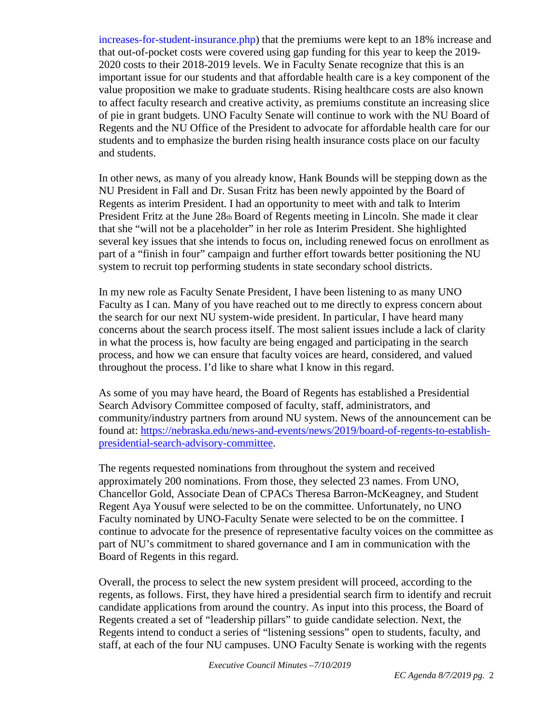increases-for-student-insurance.php) that the premiums were kept to an 18% increase and that out-of-pocket costs were covered using gap funding for this year to keep the 2019- 2020 costs to their 2018-2019 levels. We in Faculty Senate recognize that this is an important issue for our students and that affordable health care is a key component of the value proposition we make to graduate students. Rising healthcare costs are also known to affect faculty research and creative activity, as premiums constitute an increasing slice of pie in grant budgets. UNO Faculty Senate will continue to work with the NU Board of Regents and the NU Office of the President to advocate for affordable health care for our students and to emphasize the burden rising health insurance costs place on our faculty and students.

In other news, as many of you already know, Hank Bounds will be stepping down as the NU President in Fall and Dr. Susan Fritz has been newly appointed by the Board of Regents as interim President. I had an opportunity to meet with and talk to Interim President Fritz at the June 28th Board of Regents meeting in Lincoln. She made it clear that she "will not be a placeholder" in her role as Interim President. She highlighted several key issues that she intends to focus on, including renewed focus on enrollment as part of a "finish in four" campaign and further effort towards better positioning the NU system to recruit top performing students in state secondary school districts.

In my new role as Faculty Senate President, I have been listening to as many UNO Faculty as I can. Many of you have reached out to me directly to express concern about the search for our next NU system-wide president. In particular, I have heard many concerns about the search process itself. The most salient issues include a lack of clarity in what the process is, how faculty are being engaged and participating in the search process, and how we can ensure that faculty voices are heard, considered, and valued throughout the process. I'd like to share what I know in this regard.

As some of you may have heard, the Board of Regents has established a Presidential Search Advisory Committee composed of faculty, staff, administrators, and community/industry partners from around NU system. News of the announcement can be found at: [https://nebraska.edu/news-and-events/news/2019/board-of-regents-to-establish](https://nebraska.edu/news-and-events/news/2019/board-of-regents-to-establish-presidential-search-advisory-committee)[presidential-search-advisory-committee.](https://nebraska.edu/news-and-events/news/2019/board-of-regents-to-establish-presidential-search-advisory-committee)

The regents requested nominations from throughout the system and received approximately 200 nominations. From those, they selected 23 names. From UNO, Chancellor Gold, Associate Dean of CPACs Theresa Barron-McKeagney, and Student Regent Aya Yousuf were selected to be on the committee. Unfortunately, no UNO Faculty nominated by UNO-Faculty Senate were selected to be on the committee. I continue to advocate for the presence of representative faculty voices on the committee as part of NU's commitment to shared governance and I am in communication with the Board of Regents in this regard.

Overall, the process to select the new system president will proceed, according to the regents, as follows. First, they have hired a presidential search firm to identify and recruit candidate applications from around the country. As input into this process, the Board of Regents created a set of "leadership pillars" to guide candidate selection. Next, the Regents intend to conduct a series of "listening sessions" open to students, faculty, and staff, at each of the four NU campuses. UNO Faculty Senate is working with the regents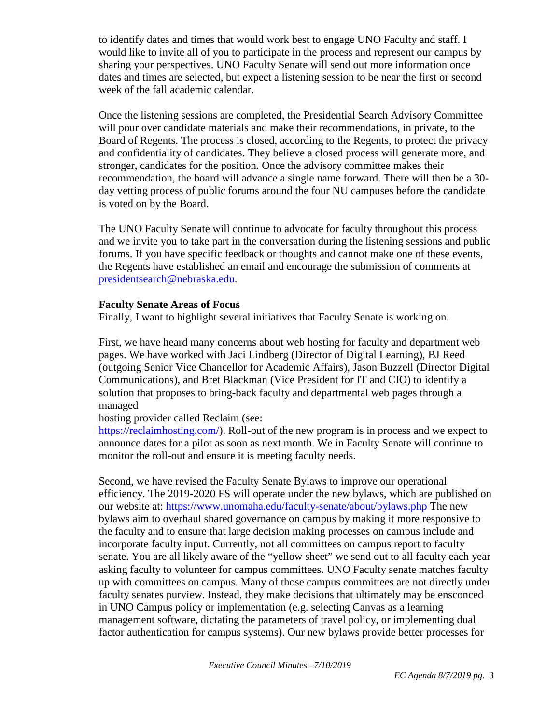to identify dates and times that would work best to engage UNO Faculty and staff. I would like to invite all of you to participate in the process and represent our campus by sharing your perspectives. UNO Faculty Senate will send out more information once dates and times are selected, but expect a listening session to be near the first or second week of the fall academic calendar.

Once the listening sessions are completed, the Presidential Search Advisory Committee will pour over candidate materials and make their recommendations, in private, to the Board of Regents. The process is closed, according to the Regents, to protect the privacy and confidentiality of candidates. They believe a closed process will generate more, and stronger, candidates for the position. Once the advisory committee makes their recommendation, the board will advance a single name forward. There will then be a 30 day vetting process of public forums around the four NU campuses before the candidate is voted on by the Board.

The UNO Faculty Senate will continue to advocate for faculty throughout this process and we invite you to take part in the conversation during the listening sessions and public forums. If you have specific feedback or thoughts and cannot make one of these events, the Regents have established an email and encourage the submission of comments at presidentsearch@nebraska.edu.

#### **Faculty Senate Areas of Focus**

Finally, I want to highlight several initiatives that Faculty Senate is working on.

First, we have heard many concerns about web hosting for faculty and department web pages. We have worked with Jaci Lindberg (Director of Digital Learning), BJ Reed (outgoing Senior Vice Chancellor for Academic Affairs), Jason Buzzell (Director Digital Communications), and Bret Blackman (Vice President for IT and CIO) to identify a solution that proposes to bring-back faculty and departmental web pages through a managed

## hosting provider called Reclaim (see:

https://reclaimhosting.com/). Roll-out of the new program is in process and we expect to announce dates for a pilot as soon as next month. We in Faculty Senate will continue to monitor the roll-out and ensure it is meeting faculty needs.

Second, we have revised the Faculty Senate Bylaws to improve our operational efficiency. The 2019-2020 FS will operate under the new bylaws, which are published on our website at: https://www.unomaha.edu/faculty-senate/about/bylaws.php The new bylaws aim to overhaul shared governance on campus by making it more responsive to the faculty and to ensure that large decision making processes on campus include and incorporate faculty input. Currently, not all committees on campus report to faculty senate. You are all likely aware of the "yellow sheet" we send out to all faculty each year asking faculty to volunteer for campus committees. UNO Faculty senate matches faculty up with committees on campus. Many of those campus committees are not directly under faculty senates purview. Instead, they make decisions that ultimately may be ensconced in UNO Campus policy or implementation (e.g. selecting Canvas as a learning management software, dictating the parameters of travel policy, or implementing dual factor authentication for campus systems). Our new bylaws provide better processes for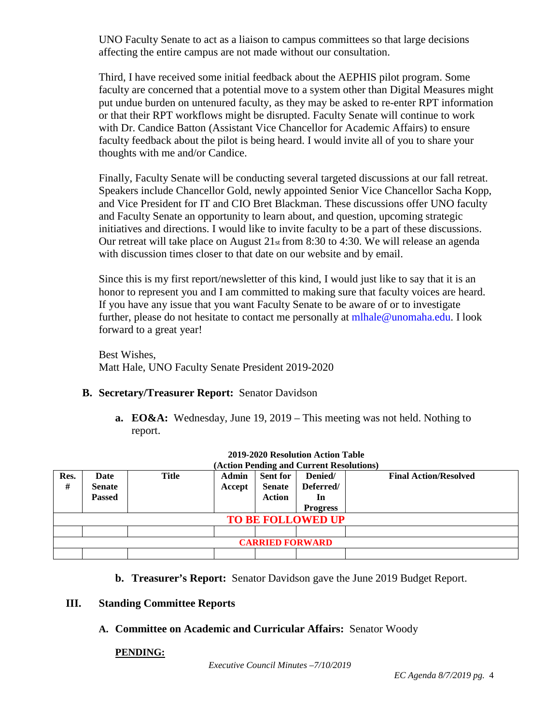UNO Faculty Senate to act as a liaison to campus committees so that large decisions affecting the entire campus are not made without our consultation.

Third, I have received some initial feedback about the AEPHIS pilot program. Some faculty are concerned that a potential move to a system other than Digital Measures might put undue burden on untenured faculty, as they may be asked to re-enter RPT information or that their RPT workflows might be disrupted. Faculty Senate will continue to work with Dr. Candice Batton (Assistant Vice Chancellor for Academic Affairs) to ensure faculty feedback about the pilot is being heard. I would invite all of you to share your thoughts with me and/or Candice.

Finally, Faculty Senate will be conducting several targeted discussions at our fall retreat. Speakers include Chancellor Gold, newly appointed Senior Vice Chancellor Sacha Kopp, and Vice President for IT and CIO Bret Blackman. These discussions offer UNO faculty and Faculty Senate an opportunity to learn about, and question, upcoming strategic initiatives and directions. I would like to invite faculty to be a part of these discussions. Our retreat will take place on August 21st from 8:30 to 4:30. We will release an agenda with discussion times closer to that date on our website and by email.

Since this is my first report/newsletter of this kind, I would just like to say that it is an honor to represent you and I am committed to making sure that faculty voices are heard. If you have any issue that you want Faculty Senate to be aware of or to investigate further, please do not hesitate to contact me personally at mlhale@unomaha.edu. I look forward to a great year!

Best Wishes, Matt Hale, UNO Faculty Senate President 2019-2020

## **B. Secretary/Treasurer Report:** Senator Davidson

**a. EO&A:** Wednesday, June 19, 2019 – This meeting was not held. Nothing to report.

| (Action Pending and Current Resolutions) |               |       |              |                 |                 |                              |
|------------------------------------------|---------------|-------|--------------|-----------------|-----------------|------------------------------|
| Res.                                     | Date          | Title | <b>Admin</b> | <b>Sent for</b> | Denied/         | <b>Final Action/Resolved</b> |
| #                                        | <b>Senate</b> |       | Accept       | <b>Senate</b>   | Deferred/       |                              |
|                                          | <b>Passed</b> |       |              | <b>Action</b>   | In              |                              |
|                                          |               |       |              |                 | <b>Progress</b> |                              |
| <b>TO BE FOLLOWED UP</b>                 |               |       |              |                 |                 |                              |
|                                          |               |       |              |                 |                 |                              |
| <b>CARRIED FORWARD</b>                   |               |       |              |                 |                 |                              |
|                                          |               |       |              |                 |                 |                              |

## **2019-2020 Resolution Action Table**

**b. Treasurer's Report:** Senator Davidson gave the June 2019 Budget Report.

#### **III. Standing Committee Reports**

## **A. Committee on Academic and Curricular Affairs:** Senator Woody

## **PENDING:**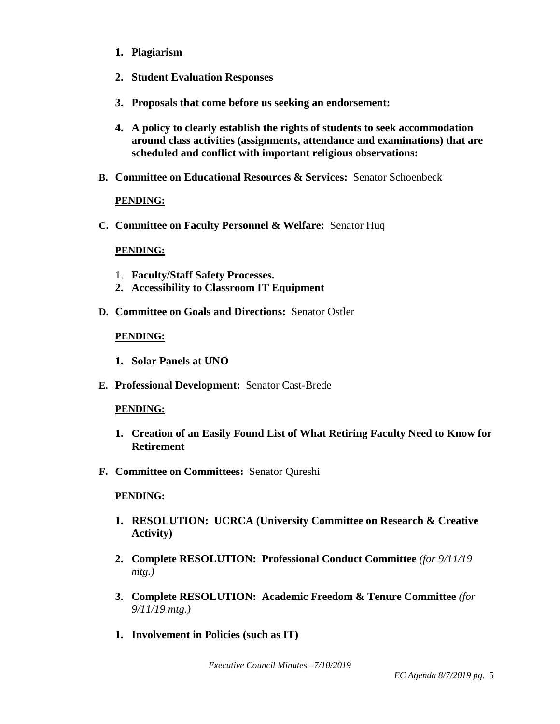- **1. Plagiarism**
- **2. Student Evaluation Responses**
- **3. Proposals that come before us seeking an endorsement:**
- **4. A policy to clearly establish the rights of students to seek accommodation around class activities (assignments, attendance and examinations) that are scheduled and conflict with important religious observations:**
- **B. Committee on Educational Resources & Services:** Senator Schoenbeck

#### **PENDING:**

**C. Committee on Faculty Personnel & Welfare:** Senator Huq

#### **PENDING:**

- 1. **Faculty/Staff Safety Processes.**
- **2. Accessibility to Classroom IT Equipment**
- **D. Committee on Goals and Directions:** Senator Ostler

#### **PENDING:**

- **1. Solar Panels at UNO**
- **E. Professional Development:** Senator Cast-Brede

#### **PENDING:**

- **1. Creation of an Easily Found List of What Retiring Faculty Need to Know for Retirement**
- **F. Committee on Committees:** Senator Qureshi

#### **PENDING:**

- **1. RESOLUTION: UCRCA (University Committee on Research & Creative Activity)**
- **2. Complete RESOLUTION: Professional Conduct Committee** *(for 9/11/19 mtg.)*
- **3. Complete RESOLUTION: Academic Freedom & Tenure Committee** *(for 9/11/19 mtg.)*
- **1. Involvement in Policies (such as IT)**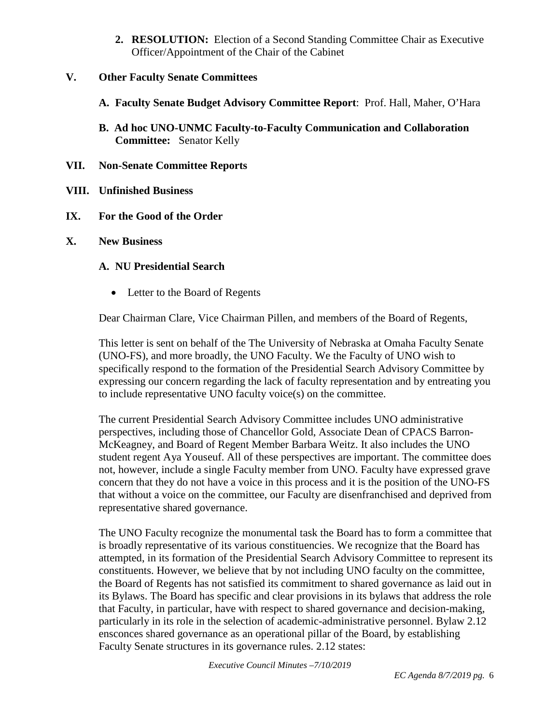**2. RESOLUTION:** Election of a Second Standing Committee Chair as Executive Officer/Appointment of the Chair of the Cabinet

## **V. Other Faculty Senate Committees**

- **A. Faculty Senate Budget Advisory Committee Report**: Prof. Hall, Maher, O'Hara
- **B. Ad hoc UNO-UNMC Faculty-to-Faculty Communication and Collaboration Committee:** Senator Kelly
- **VII. Non-Senate Committee Reports**
- **VIII. Unfinished Business**

## **IX. For the Good of the Order**

**X. New Business**

## **A. NU Presidential Search**

• Letter to the Board of Regents

Dear Chairman Clare, Vice Chairman Pillen, and members of the Board of Regents,

This letter is sent on behalf of the The University of Nebraska at Omaha Faculty Senate (UNO-FS), and more broadly, the UNO Faculty. We the Faculty of UNO wish to specifically respond to the formation of the Presidential Search Advisory Committee by expressing our concern regarding the lack of faculty representation and by entreating you to include representative UNO faculty voice(s) on the committee.

The current Presidential Search Advisory Committee includes UNO administrative perspectives, including those of Chancellor Gold, Associate Dean of CPACS Barron-McKeagney, and Board of Regent Member Barbara Weitz. It also includes the UNO student regent Aya Youseuf. All of these perspectives are important. The committee does not, however, include a single Faculty member from UNO. Faculty have expressed grave concern that they do not have a voice in this process and it is the position of the UNO-FS that without a voice on the committee, our Faculty are disenfranchised and deprived from representative shared governance.

The UNO Faculty recognize the monumental task the Board has to form a committee that is broadly representative of its various constituencies. We recognize that the Board has attempted, in its formation of the Presidential Search Advisory Committee to represent its constituents. However, we believe that by not including UNO faculty on the committee, the Board of Regents has not satisfied its commitment to shared governance as laid out in its Bylaws. The Board has specific and clear provisions in its bylaws that address the role that Faculty, in particular, have with respect to shared governance and decision-making, particularly in its role in the selection of academic-administrative personnel. Bylaw 2.12 ensconces shared governance as an operational pillar of the Board, by establishing Faculty Senate structures in its governance rules. 2.12 states: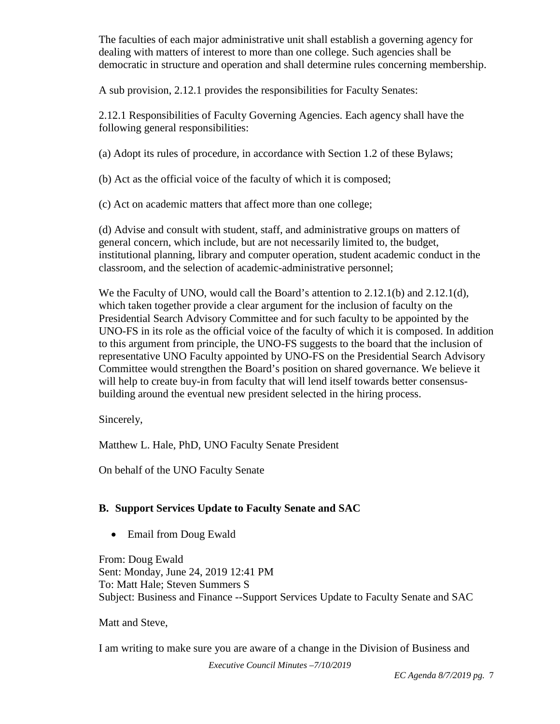The faculties of each major administrative unit shall establish a governing agency for dealing with matters of interest to more than one college. Such agencies shall be democratic in structure and operation and shall determine rules concerning membership.

A sub provision, 2.12.1 provides the responsibilities for Faculty Senates:

2.12.1 Responsibilities of Faculty Governing Agencies. Each agency shall have the following general responsibilities:

(a) Adopt its rules of procedure, in accordance with Section 1.2 of these Bylaws;

(b) Act as the official voice of the faculty of which it is composed;

(c) Act on academic matters that affect more than one college;

(d) Advise and consult with student, staff, and administrative groups on matters of general concern, which include, but are not necessarily limited to, the budget, institutional planning, library and computer operation, student academic conduct in the classroom, and the selection of academic-administrative personnel;

We the Faculty of UNO, would call the Board's attention to 2.12.1(b) and 2.12.1(d), which taken together provide a clear argument for the inclusion of faculty on the Presidential Search Advisory Committee and for such faculty to be appointed by the UNO-FS in its role as the official voice of the faculty of which it is composed. In addition to this argument from principle, the UNO-FS suggests to the board that the inclusion of representative UNO Faculty appointed by UNO-FS on the Presidential Search Advisory Committee would strengthen the Board's position on shared governance. We believe it will help to create buy-in from faculty that will lend itself towards better consensusbuilding around the eventual new president selected in the hiring process.

Sincerely,

Matthew L. Hale, PhD, UNO Faculty Senate President

On behalf of the UNO Faculty Senate

# **B. Support Services Update to Faculty Senate and SAC**

• Email from Doug Ewald

From: Doug Ewald Sent: Monday, June 24, 2019 12:41 PM To: Matt Hale; Steven Summers S Subject: Business and Finance --Support Services Update to Faculty Senate and SAC

Matt and Steve,

I am writing to make sure you are aware of a change in the Division of Business and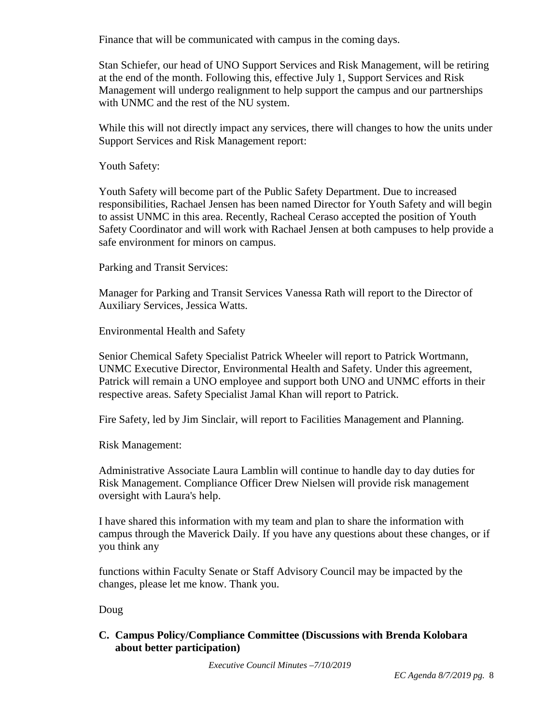Finance that will be communicated with campus in the coming days.

Stan Schiefer, our head of UNO Support Services and Risk Management, will be retiring at the end of the month. Following this, effective July 1, Support Services and Risk Management will undergo realignment to help support the campus and our partnerships with UNMC and the rest of the NU system.

While this will not directly impact any services, there will changes to how the units under Support Services and Risk Management report:

Youth Safety:

Youth Safety will become part of the Public Safety Department. Due to increased responsibilities, Rachael Jensen has been named Director for Youth Safety and will begin to assist UNMC in this area. Recently, Racheal Ceraso accepted the position of Youth Safety Coordinator and will work with Rachael Jensen at both campuses to help provide a safe environment for minors on campus.

Parking and Transit Services:

Manager for Parking and Transit Services Vanessa Rath will report to the Director of Auxiliary Services, Jessica Watts.

Environmental Health and Safety

Senior Chemical Safety Specialist Patrick Wheeler will report to Patrick Wortmann, UNMC Executive Director, Environmental Health and Safety. Under this agreement, Patrick will remain a UNO employee and support both UNO and UNMC efforts in their respective areas. Safety Specialist Jamal Khan will report to Patrick.

Fire Safety, led by Jim Sinclair, will report to Facilities Management and Planning.

Risk Management:

Administrative Associate Laura Lamblin will continue to handle day to day duties for Risk Management. Compliance Officer Drew Nielsen will provide risk management oversight with Laura's help.

I have shared this information with my team and plan to share the information with campus through the Maverick Daily. If you have any questions about these changes, or if you think any

functions within Faculty Senate or Staff Advisory Council may be impacted by the changes, please let me know. Thank you.

Doug

**C. Campus Policy/Compliance Committee (Discussions with Brenda Kolobara about better participation)**